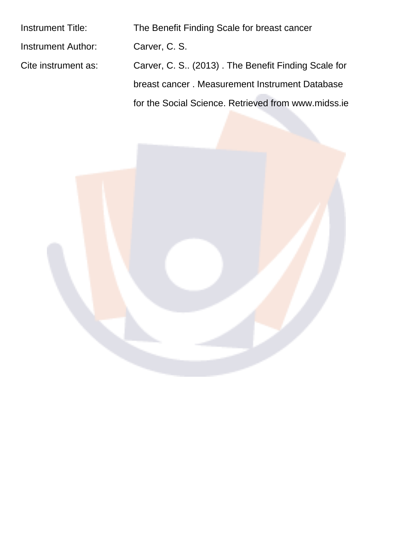| <b>Instrument Title:</b>  | The Benefit Finding Scale for breast cancer         |
|---------------------------|-----------------------------------------------------|
| <b>Instrument Author:</b> | Carver, C. S.                                       |
| Cite instrument as:       | Carver, C. S (2013). The Benefit Finding Scale for  |
|                           | breast cancer. Measurement Instrument Database      |
|                           | for the Social Science. Retrieved from www.midss.ie |
|                           |                                                     |